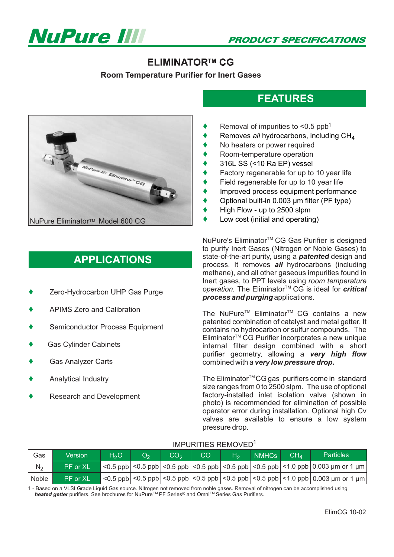

### **ELIMINATOR™ CG**

**Room Temperature Purifier for Inert Gases**



# **APPLICATIONS**

- ◆ Zero-Hydrocarbon UHP Gas Purge *operation.*
- $\blacklozenge$ APIMS Zero and Calibration
- $\blacklozenge$ Semiconductor Process Equipment
- $\blacklozenge$ Gas Cylinder Cabinets
- $\blacklozenge$ Gas Analyzer Carts
- $\blacklozenge$ Analytical Industry
- $\blacklozenge$ Research and Development

## **FEATURES**

- $\blacklozenge$ Removal of impurities to  $\leq 0.5$  ppb<sup>1</sup>
- $\blacklozenge$ Removes all hydrocarbons, including CH<sub>4</sub>
- $\blacklozenge$ No heaters or power required
- $\blacklozenge$ Room-temperature operation
- $\blacklozenge$ 316L SS (<10 Ra EP) vessel
- $\blacklozenge$ Factory regenerable for up to 10 year life
- $\blacklozenge$ Field regenerable for up to 10 year life
- $\blacklozenge$ Improved process equipment performance
- $\blacklozenge$ Optional built-in 0.003 µm filter (PF type)
- $\blacklozenge$ High Flow - up to 2500 slpm
- $\blacklozenge$ Low cost (initial and operating)

NuPure's Eliminator<sup>™</sup> CG Gas Purifier is designed to purify Inert Gases (Nitrogen or Noble Gases) to The Eliminator<sup>™</sup> CG is ideal for *critical* state-of-the-art purity, using a *patented* design and process. It removes all hydrocarbons (including methane), and all other gaseous impurities found in Inert gases, to PPT levels using *room temperature process and purging* applications.

The NuPure<sup>™</sup> Eliminator<sup>™</sup> CG contains a new Eliminator<sup>™</sup> CG Purifier incorporates a new unique patented combination of catalyst and metal getter. It contains no hydrocarbon or sulfur compounds. The internal filter design combined with a short purifier geometry, allowing a *very high flow* combined with a *very low pressure drop.*

The Eliminator<sup>™</sup>CG gas purifiers come in standard size ranges from 0 to 2500 slpm. The use of optional factory-installed inlet isolation valve (shown in photo) is recommended for elimination of possible operator error during installation. Optional high Cv valves are available to ensure a low system pressure drop.

#### IMPURITIES REMOVED<sup>1</sup>

| Gas            | Version         | H <sub>2</sub> O | O <sub>2</sub> | CO <sub>2</sub> | CO | H <sub>2</sub> | <b>NMHCs</b> | CH <sub>A</sub> | <b>Particles</b>                                                                                                                                                  |
|----------------|-----------------|------------------|----------------|-----------------|----|----------------|--------------|-----------------|-------------------------------------------------------------------------------------------------------------------------------------------------------------------|
| N <sub>2</sub> | IPF or XL'      |                  |                |                 |    |                |              |                 | <0.5 ppb   <0.5 ppb   <0.5 ppb   <0.5 ppb   <0.5 ppb   <0.5 ppb   <0.5 ppb   <1.0 ppb   0.003 μm or 1 μm                                                          |
| Noble          | <b>PF</b> or XL |                  |                |                 |    |                |              |                 | $\langle 0.5 \text{ pb}   0.5 \text{ pb}   0.5 \text{ pb}   0.5 \text{ pb}   0.5 \text{ pb}   0.5 \text{ pb}   0.5 \text{ pb}   0.0003 \mu m \text{ or } 1 \mu m$ |

1 - Based on a VLSI Grade Liquid Gas source. Nitrogen not removed from noble gases. Removal of nitrogen can be accomplished using *heated getter* purifiers. See brochures for NuPure<sup>™</sup> PF Series<sup>®</sup> and Omni™ Series Gas Purifiers.